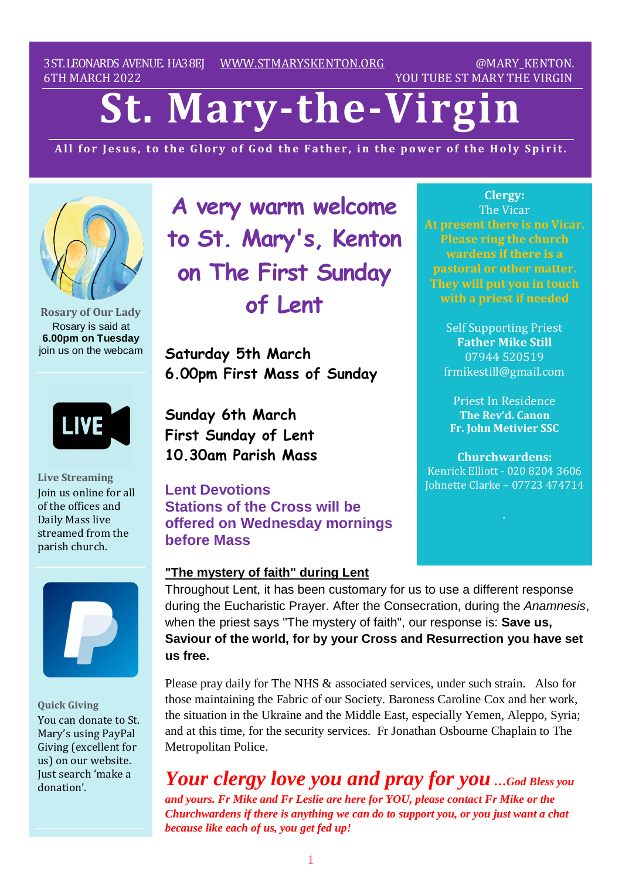3ST.LEONARDS AVENUE. HA38EJ [WWW.STMARYSKENTON.ORG](http://www.stmaryskenton.org/) @MARY\_KENTON. 6TH MARCH 2022 YOU TUBE ST MARY THE VIRGIN

# **St. Mary-the-Virgi**

All for Jesus, to the Glory of God the Father, in the power of the Holy Spirit.



**Rosary of Our Lady** Rosary is said at **6.00pm on Tuesday** join us on the webcam

**LIVE** 

**Live Streaming** Join us online for all of the offices and Daily Mass live streamed from the parish church.



**Quick Giving** You can donate to St. Mary's using PayPal Giving (excellent for us) on our website. Just search 'make a donation'.

**A very warm welcome to St. Mary's, Kenton on The First Sunday of Lent**

**Saturday 5th March 6.00pm First Mass of Sunday**

**Sunday 6th March First Sunday of Lent 10.30am Parish Mass**

**Lent Devotions Stations of the Cross will be offered on Wednesday mornings before Mass**

## **"The mystery of faith" during Lent**

**Clergy:** The Vicar **At present there is no Vicar. Please ring the church wardens if there is a pastoral or other matter. They will put you in touch**

> Self Supporting Priest **Father Mike Still** 07944 520519 frmikestill@gmail.com

Priest In Residence **The Rev'd. Canon Fr. John Metivier SSC**

**Churchwardens:** Kenrick Elliott - 020 8204 3606 Johnette Clarke – 07723 474714

Throughout Lent, it has been customary for us to use a different response during the Eucharistic Prayer. After the Consecration, during the *Anamnesis*, when the priest says "The mystery of faith", our response is: **Save us, Saviour of the world, for by your Cross and Resurrection you have set us free.** 

Please pray daily for The NHS & associated services, under such strain. Also for those maintaining the Fabric of our Society. Baroness Caroline Cox and her work, the situation in the Ukraine and the Middle East, especially Yemen, Aleppo, Syria; and at this time, for the security services. Fr Jonathan Osbourne Chaplain to The Metropolitan Police.

*Your clergy love you and pray for you …God Bless you and yours. Fr Mike and Fr Leslie are here for YOU, please contact Fr Mike or the Churchwardens if there is anything we can do to support you, or you just want a chat because like each of us, you get fed up!*